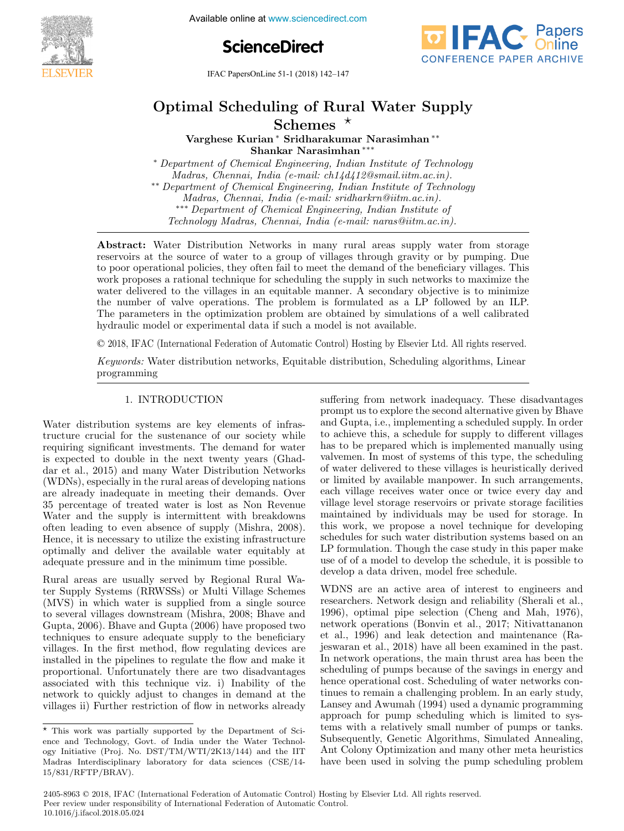

Available online at www.sciencedirect.com





IFAC PapersOnLine  $51-1$  (2018) 142–147  $\sum_{i=1}^{n}$ 

# $\overline{\text{ling of Run}}$ Optimal Scheduling of Rural Water Supply Optimal Scheduling of Rural Water Supply

Schemes <sup>∗</sup>

Varghese Kurian ∗ Sridharakumar Narasimhan <sup>∗∗</sup> Varghese Kurian ∂Sridharakumar Narasimhan<br>Shankar Narasimhan ∗∗∗

Madras, Chennai, India (e-mail: ch14d412@smail.iitm.ac.in). Madras, Chennai, India (e-mail: ch14d412@smail.iitm.ac.in). ∗∗ Department of Chemical Engineering, Indian Institute of Technology <sup>\*\*\*</sup> Department of Chemical Engineering, Indian Institute of ∗∗∗ Department of Chemical Engineering, Indian Institute of Technology Madras, Chennai, India (e-mail: naras@iitm.ac.in). ∗ Department of Chemical Engineering, Indian Institute of Technology ∗ Department of Chemical Engineering, Indian Institute of Technology Shankar Narasimhan ∗∗∗ <sup>24</sup> Department of Chemical Engineering, Indian Institute of Technology Madras, Chennai, India (e-mail: sridharkrn@iitm.ac.in). Technology Madras, Chennai, India (e-mail: naras@iitm.ac.in).

Technology Madras, Chennai, India (e-mail: naras@iitm.ac.in).

reservoirs at the source of water to a group of villages through gravity or by pumping. Due reservoirs at the source of water to a group of vinages through gravity of by pumping. Due<br>to poor operational policies, they often fail to meet the demand of the beneficiary villages. This work proposes a rational technique for scheduling the supply in such networks to maximize the work proposes a rational technique for scheduling the supply in such hetworks to maximize the<br>water delivered to the villages in an equitable manner. A secondary objective is to minimize water denvered to the vinages in an equitable mainter. A secondary objective is to imminize<br>the number of valve operations. The problem is formulated as a LP followed by an ILP. The parameters in the optimization problem are obtained by simulations of a well calibrated  $\Gamma$ . hydraulic model or experimental data if such a model is not available. Abstract: Water Distribution Networks in many rural areas supply water from storage The parameters in the optimization problem are obtained by simulations of a well calibrated by  $\frac{1}{2}$  followed by an ILP.  $\star$  Department of Chemical Engineering, Indian Institute of Chemical Engineering, Institute of  $\star$ we number of the optimization problem are obtained w simulations of a well calibrated The parameters in the operation  $\mu$  is to the village manner. A secondary objective is to minimize the village manner of  $\mu$  secondary objective is to minimize the minimized or experimental data if such a model is not a the number of values of values of values of the problem is formulated as  $\frac{1}{2}$ 

© 2018, IFAC (International Federation of Automatic Control) Hosting by Elsevier Ltd. All rights reserved.  $K_{\text{eff}}$  , Equitable distribution networks, Equitable distribution, Scheduling algorithms, Linear

Keywords: Water distribution networks, Equitable distribution, Scheduling algorithms, Linear programming programming Keywords: Water distribution networks, Equitable distribution, Scheduling algorithms, Linear Keywords: Water distribution networks, Equitable distribution, Scheduling algorithms, Linear programming  $K_0$  and  $K_1$  is distribution not works. Fourtable distribution. Seeded  $\frac{1}{\sqrt{1-\frac{1}{2}}\sqrt{1-\frac{1}{2}}\sqrt{1-\frac{1}{2}}\sqrt{1-\frac{1}{2}}\sqrt{1-\frac{1}{2}}\sqrt{1-\frac{1}{2}}\sqrt{1-\frac{1}{2}}\sqrt{1-\frac{1}{2}}\sqrt{1-\frac{1}{2}}\sqrt{1-\frac{1}{2}}\sqrt{1-\frac{1}{2}}\sqrt{1-\frac{1}{2}}\sqrt{1-\frac{1}{2}}\sqrt{1-\frac{1}{2}}\sqrt{1-\frac{1}{2}}\sqrt{1-\frac{1}{2}}\sqrt{1-\frac{1}{2}}\sqrt{1-\frac{1}{2}}\sqrt{1-\frac{1}{2}}\sqrt{1-\frac$ 

#### 1. INTRODUCTION 1. INTRODUCTION 1. INTRODUCTION 1. INTRODUCTION programming the state of the state of the state of the state of the state of the state of the state of the state of the state of the state of the state of the state of the state of the state of the state of the state of th

Water distribution systems are key elements of infraswater distribution systems are key elements of infras-<br>tructure crucial for the sustenance of our society while requiring significant investments. The demand for water<br>is available in the next two-two care (Chad requiring significant investments. The demand for water dar et al., 2015) and many Water Distribution Networks (WDNs), especially in the rural areas of developing nations are already inadequate in meeting their demands. Over 35 percentage of treated water is lost as Non Revenue Water and the supply is intermittent with breakdowns often leading to even absence of supply (Mishra, 2008). Hence, it is necessary to utilize the existing infrastructure optimally and deliver the available water equitably at<br>adequate measurement in available water equitably at adequate pressure and in the minimum time possible. Water distribution systems are key elements of infrasadequate pressure and in the minimum time possible. adequate pressure and in the minimum time possible.  $\frac{1}{2}$  adequate pressure and in the minimum time possible

rand areas are usually served by Regional Rural Wa-<br>Rural areas are usually served by Regional Rural Warter areas are usually served by Regional Rural Wa-<br>ter Supply Systems (RRWSSs) or Multi Village Schemes (MVS) in which water is supplied from a single source<br>to source in which water is supplied from a single source  $(n \vee s)$  in which water is supplied from a single source to several villages downstream (Mishra, 2008; Bhave and Gupta,  $2006$ ). Bhave and Gupta  $(2006)$  have proposed two oupla, 2000). Blave and Gupta (2000) have proposed two<br>techniques to ensure adequate supply to the beneficiary villages. In the first method, flow regulating devices are installed in the pipelines to regulate the flow and make it movalide in the proportional. Unfortunately there are two disadvantages associated with this technique viz. i) Inability of the network to quickly adjust to changes in demand at the villages ii) Further restriction of flow in networks already villages ii) Further restriction of flow in networks already to several villages downstream (Mishra, 2006; Bhave and<br>Gupta, 2006). Bhave and Gupta (2006) have proposed two<br>techniques to ensure adequate supply to the beneficiary<br>willages. In the first mothod flow regulating devices a installed in the instruction, how regulating devices are<br>installed in the pipelines to regulate the flow and make it<br>proportional. Unfortunately there are two disadvantages<br>associated with this technique viz. i) Inability villages ii) Further restriction of flow in networks already Rural areas are usually served by Regional Rural  $\epsilon$  separation in  $\epsilon$  see  $\epsilon$  and  $\epsilon$  and  $\epsilon$  and  $\epsilon$  and  $\epsilon$  and  $\epsilon$  are proportional to the beneficiary proportional Unfortunately there are two disadvantages villages ii) Further restriction of flow in networks already network to  $\frac{1}{2}$  and  $\frac{1}{2}$  and  $\frac{1}{2}$  and  $\frac{1}{2}$  at the changes in demand at the theory

This work was particularly supported by the Department of Sci-Department of Sci-Department of Sci-Department o

suffering from network inadequacy. These disadvantages prompt us to explore the second alternative given by Bhave<br>and Gupta, i.e., implementing a scheduled supply. In order<br>to achieve this, a schedule for supply to different villages<br>has to be propared which is implemented man and Gupta, i.e., implementing a scheduled supply. In order to achieve this, a schedule for supply to different villages has to be prepared which is implemented manually using valvemen. In most of systems of this type, the scheduling value in manpower. In many or systems or this type, the selectring of water delivered to these villages is heuristically derived or limited by available manpower. In such arrangements, each village receives water once or twice every day and village level storage reservoirs or private storage facilities maintained by individuals may be used for storage. In this work, we propose a novel technique for developing schedules for such water distribution systems based on an LP formulation. Though the case study in this paper make use of of a model to develop the schedule, it is possible to develop a data driven, model free schedule. suffering from network inadequacy. These disadvantages develop a data driven, model free schedule. has to be prepared which is implemented manually using<br>valvemen. In most of systems of this type, the scheduling<br>of water delivered to these villages is heuristically derived<br>or limited by available mannounce. In such arra develop a data driven, model free schedule.  $\frac{1}{\sqrt{1}}$  has to be presented to these villages is heuristically derived  $dev$  for  $\alpha$  and  $\alpha$  is  $\alpha$  in the case  $\alpha$  is particulated in the case of  $\alpha$ 

suffering from network inadequacy. These disadvantages

WDNS are an active area of interest to engineers and researchers. Network design and reliability (Sherali et al., 1996), optimal pipe selection (Cheng and Lindshire)<br>notwork continue selection (Cheng and Mah, 1976), network operations (Bonvin et al., 2017; Nitivattananon et al., 1996) and leak detection and maintenance (Rajeswaran et al., 2018) have all been examined in the past. In network operations, the main thrust area has been the scheduling of pumps because of the savings in energy and hence operational cost. Scheduling of water networks continues to remain a challenging problem. In an early study, Lansey and Awumah (1994) used a dynamic programming cannot a dividend to system and the programming approach for pump scheduling which is limited to sysapproach for pump scheduling which is influed to sys-<br>tems with a relatively small number of pumps or tanks. Subsequently, Genetic Algorithms, Simulated Annealing,<br>Subsequently, Genetic Algorithms, Simulated Annealing, bubsequently, center ingeriums, simulated inhering, Ant Colony Optimization and many other meta heuristics have been used in solving the pump scheduling problem have been used in solving the pump scheduling problem Ant Colony Optimization and many other meta heuristics have been used in solving the pump scheduling problem WDNS are an active area of interest to have been used in solving the nump scheduling problem Anti-Colony Optimization and many other metals  $\alpha$ 

<sup>\*</sup> This work was partially supported by the Department of Sci-Initiative parameter of Separative Comparison of Separative Comparison of Separative Comparison and Technology, Govt. of India under the Water Technology Initiative (Proj. No. DST/TM/WTI/2K13/144) and the IIT Madras Interdisciplinary laboratory for data sciences (CSE/14-15/831/RFTP/BRAV). 15/831/RFTP/BRAV). Madras Interdisciplinary laboratory for data sciences (CSE/14-  $\overline{\star}$  This work was partially supported by the Department of Sci-This work was partially supported by the Department of Sci-<br>once and Technology, Covid-of India under the Water Technol  $15/831/RFTP/BRAW)$ .  $\overline{\text{X}}$  This work was partially supported by the Department of  $\text{Soi}$ 

<sup>2405-8963 © 2018,</sup> IFAC (International Federation of Automatic Control) Hosting by Elsevier Ltd. All rights reserved. **Peer review under responsibility of International Federation of Automatic Control.** 10.1016/j.ifacol.2018.05.024 **Copyright © 2018 IFAC 142**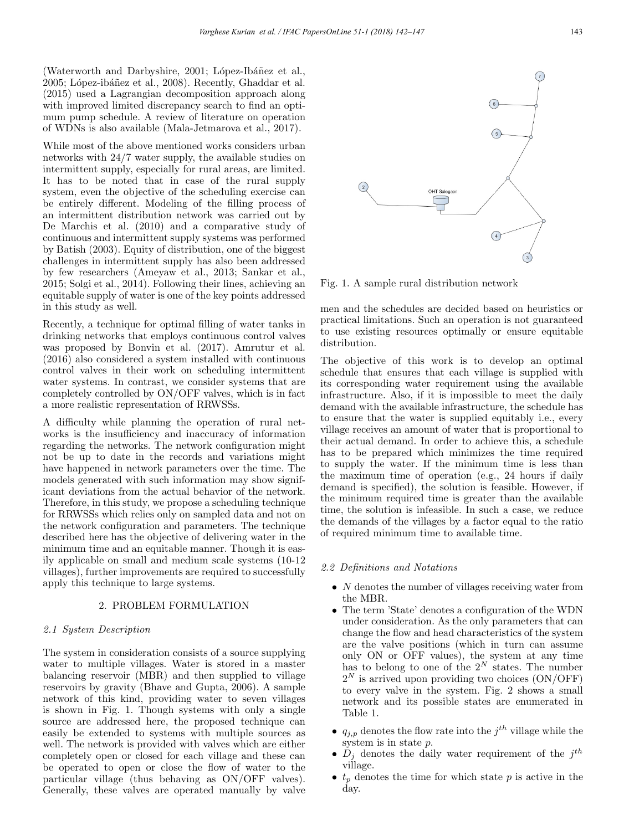(Waterworth and Darbyshire, 2001; López-Ibáñez et al.,  $2005$ ; López-ibáñez et al., 2008). Recently, Ghaddar et al. (2015) used a Lagrangian decomposition approach along with improved limited discrepancy search to find an optimum pump schedule. A review of literature on operation of WDNs is also available (Mala-Jetmarova et al., 2017).

While most of the above mentioned works considers urban networks with 24/7 water supply, the available studies on intermittent supply, especially for rural areas, are limited. It has to be noted that in case of the rural supply system, even the objective of the scheduling exercise can be entirely different. Modeling of the filling process of an intermittent distribution network was carried out by De Marchis et al. (2010) and a comparative study of continuous and intermittent supply systems was performed by Batish (2003). Equity of distribution, one of the biggest challenges in intermittent supply has also been addressed by few researchers (Ameyaw et al., 2013; Sankar et al., 2015; Solgi et al., 2014). Following their lines, achieving an equitable supply of water is one of the key points addressed in this study as well.

Recently, a technique for optimal filling of water tanks in drinking networks that employs continuous control valves was proposed by Bonvin et al. (2017). Amrutur et al. (2016) also considered a system installed with continuous control valves in their work on scheduling intermittent water systems. In contrast, we consider systems that are completely controlled by ON/OFF valves, which is in fact a more realistic representation of RRWSSs.

A difficulty while planning the operation of rural networks is the insufficiency and inaccuracy of information regarding the networks. The network configuration might not be up to date in the records and variations might have happened in network parameters over the time. The models generated with such information may show significant deviations from the actual behavior of the network. Therefore, in this study, we propose a scheduling technique for RRWSSs which relies only on sampled data and not on the network configuration and parameters. The technique described here has the objective of delivering water in the minimum time and an equitable manner. Though it is easily applicable on small and medium scale systems (10-12 villages), further improvements are required to successfully apply this technique to large systems.

# 2. PROBLEM FORMULATION

# 2.1 System Description

The system in consideration consists of a source supplying water to multiple villages. Water is stored in a master balancing reservoir (MBR) and then supplied to village reservoirs by gravity (Bhave and Gupta, 2006). A sample network of this kind, providing water to seven villages is shown in Fig. 1. Though systems with only a single source are addressed here, the proposed technique can easily be extended to systems with multiple sources as well. The network is provided with valves which are either completely open or closed for each village and these can be operated to open or close the flow of water to the particular village (thus behaving as ON/OFF valves). Generally, these valves are operated manually by valve



Fig. 1. A sample rural distribution network

men and the schedules are decided based on heuristics or practical limitations. Such an operation is not guaranteed to use existing resources optimally or ensure equitable distribution.

The objective of this work is to develop an optimal schedule that ensures that each village is supplied with its corresponding water requirement using the available infrastructure. Also, if it is impossible to meet the daily demand with the available infrastructure, the schedule has to ensure that the water is supplied equitably i.e., every village receives an amount of water that is proportional to their actual demand. In order to achieve this, a schedule has to be prepared which minimizes the time required to supply the water. If the minimum time is less than the maximum time of operation (e.g., 24 hours if daily demand is specified), the solution is feasible. However, if the minimum required time is greater than the available time, the solution is infeasible. In such a case, we reduce the demands of the villages by a factor equal to the ratio of required minimum time to available time.

### 2.2 Definitions and Notations

- N denotes the number of villages receiving water from the MBR.
- The term 'State' denotes a configuration of the WDN under consideration. As the only parameters that can change the flow and head characteristics of the system are the valve positions (which in turn can assume only ON or OFF values), the system at any time has to belong to one of the  $2^N$  states. The number  $2^N$  is arrived upon providing two choices (ON/OFF) to every valve in the system. Fig. 2 shows a small network and its possible states are enumerated in Table 1.
- $q_{j,p}$  denotes the flow rate into the  $j^{th}$  village while the system is in state p.
- $D_j$  denotes the daily water requirement of the  $i^{th}$ village.
- $t_p$  denotes the time for which state p is active in the day.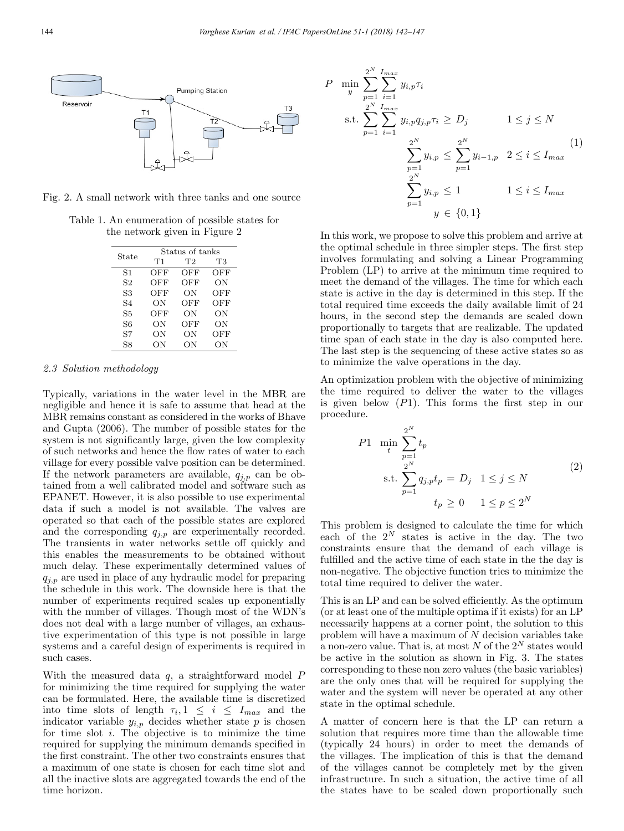

Fig. 2. A small network with three tanks and one source

Table 1. An enumeration of possible states for the network given in Figure 2

| State          | Status of tanks |     |     |
|----------------|-----------------|-----|-----|
|                | T1              | T2  | T3  |
| S <sub>1</sub> | OFF             | OFF | OFF |
| S <sub>2</sub> | OFF             | OFF | ΟN  |
| S3             | OFF             | ΟN  | OFF |
| S4             | OΝ              | OFF | OFF |
| S5             | OFF             | ΟN  | ΟN  |
| S6             | OΝ              | OFF | ON  |
| S7             | ΟN              | OΝ  | OFF |
| S8             | ΟN              | ΟN  | ΟN  |

### 2.3 Solution methodology

Typically, variations in the water level in the MBR are negligible and hence it is safe to assume that head at the MBR remains constant as considered in the works of Bhave and Gupta (2006). The number of possible states for the system is not significantly large, given the low complexity of such networks and hence the flow rates of water to each village for every possible valve position can be determined. If the network parameters are available,  $q_{j,p}$  can be obtained from a well calibrated model and software such as EPANET. However, it is also possible to use experimental data if such a model is not available. The valves are operated so that each of the possible states are explored and the corresponding  $q_{j,p}$  are experimentally recorded. The transients in water networks settle off quickly and this enables the measurements to be obtained without much delay. These experimentally determined values of  $q_{i,p}$  are used in place of any hydraulic model for preparing the schedule in this work. The downside here is that the number of experiments required scales up exponentially with the number of villages. Though most of the WDN's does not deal with a large number of villages, an exhaustive experimentation of this type is not possible in large systems and a careful design of experiments is required in such cases.

With the measured data  $q$ , a straightforward model  $P$ for minimizing the time required for supplying the water can be formulated. Here, the available time is discretized into time slots of length  $\tau_i, 1 \leq i \leq I_{max}$  and the indicator variable  $y_{i,p}$  decides whether state p is chosen for time slot i. The objective is to minimize the time required for supplying the minimum demands specified in the first constraint. The other two constraints ensures that a maximum of one state is chosen for each time slot and all the inactive slots are aggregated towards the end of the time horizon.

$$
P \min_{y} \sum_{p=1}^{2^{N}} \sum_{i=1}^{I_{max}} y_{i,p} \tau_{i}
$$
  
s.t. 
$$
\sum_{p=1}^{2^{N}} \sum_{i=1}^{I_{max}} y_{i,p} q_{j,p} \tau_{i} \ge D_{j} \qquad 1 \le j \le N
$$

$$
\sum_{p=1}^{2^{N}} y_{i,p} \le \sum_{p=1}^{2^{N}} y_{i-1,p} \quad 2 \le i \le I_{max}
$$

$$
\sum_{p=1}^{2^{N}} y_{i,p} \le 1 \qquad 1 \le i \le I_{max}
$$

$$
y \in \{0, 1\}
$$

In this work, we propose to solve this problem and arrive at the optimal schedule in three simpler steps. The first step involves formulating and solving a Linear Programming Problem (LP) to arrive at the minimum time required to meet the demand of the villages. The time for which each state is active in the day is determined in this step. If the total required time exceeds the daily available limit of 24 hours, in the second step the demands are scaled down proportionally to targets that are realizable. The updated time span of each state in the day is also computed here. The last step is the sequencing of these active states so as to minimize the valve operations in the day.

An optimization problem with the objective of minimizing the time required to deliver the water to the villages is given below  $(P1)$ . This forms the first step in our procedure.

$$
P1 \quad \min_{t} \sum_{p=1}^{2^{N}} t_{p}
$$
\n
$$
\text{s.t.} \sum_{p=1}^{2^{N}} q_{j,p} t_{p} = D_{j} \quad 1 \le j \le N
$$
\n
$$
t_{p} \ge 0 \quad 1 \le p \le 2^{N}
$$
\n
$$
(2)
$$

This problem is designed to calculate the time for which each of the  $2^N$  states is active in the day. The two constraints ensure that the demand of each village is fulfilled and the active time of each state in the the day is non-negative. The objective function tries to minimize the total time required to deliver the water.

This is an LP and can be solved efficiently. As the optimum (or at least one of the multiple optima if it exists) for an LP necessarily happens at a corner point, the solution to this problem will have a maximum of  $N$  decision variables take a non-zero value. That is, at most  $N$  of the  $2^N$  states would be active in the solution as shown in Fig. 3. The states corresponding to these non zero values (the basic variables) are the only ones that will be required for supplying the water and the system will never be operated at any other state in the optimal schedule.

A matter of concern here is that the LP can return a solution that requires more time than the allowable time (typically 24 hours) in order to meet the demands of the villages. The implication of this is that the demand of the villages cannot be completely met by the given infrastructure. In such a situation, the active time of all the states have to be scaled down proportionally such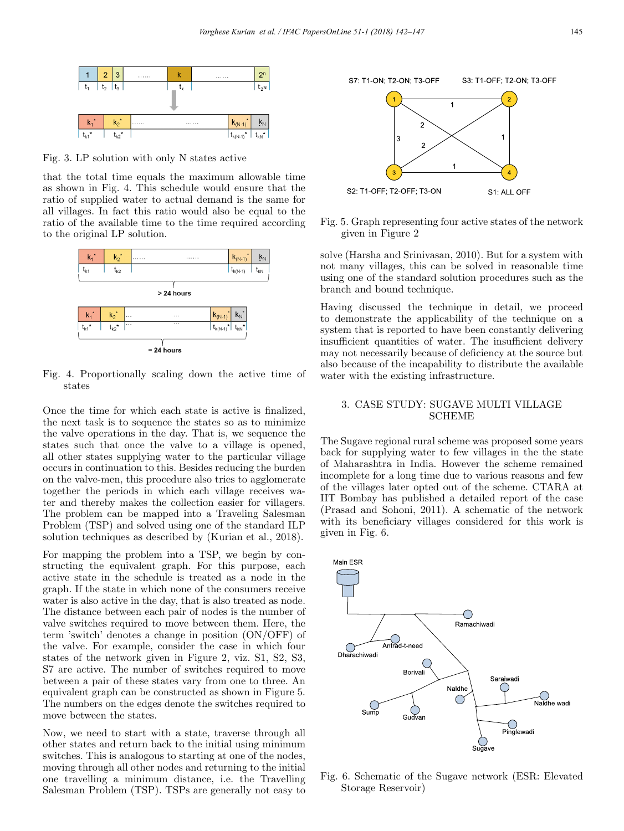

Fig. 3. LP solution with only N states active

that the total time equals the maximum allowable time as shown in Fig. 4. This schedule would ensure that the ratio of supplied water to actual demand is the same for all villages. In fact this ratio would also be equal to the ratio of the available time to the time required according to the original LP solution.



Fig. 4. Proportionally scaling down the active time of states

Once the time for which each state is active is finalized, the next task is to sequence the states so as to minimize the valve operations in the day. That is, we sequence the states such that once the valve to a village is opened, all other states supplying water to the particular village occurs in continuation to this. Besides reducing the burden on the valve-men, this procedure also tries to agglomerate together the periods in which each village receives water and thereby makes the collection easier for villagers. The problem can be mapped into a Traveling Salesman Problem (TSP) and solved using one of the standard ILP solution techniques as described by (Kurian et al., 2018).

For mapping the problem into a TSP, we begin by constructing the equivalent graph. For this purpose, each active state in the schedule is treated as a node in the graph. If the state in which none of the consumers receive water is also active in the day, that is also treated as node. The distance between each pair of nodes is the number of valve switches required to move between them. Here, the term 'switch' denotes a change in position (ON/OFF) of the valve. For example, consider the case in which four states of the network given in Figure 2, viz. S1, S2, S3, S7 are active. The number of switches required to move between a pair of these states vary from one to three. An equivalent graph can be constructed as shown in Figure 5. The numbers on the edges denote the switches required to move between the states.

Now, we need to start with a state, traverse through all other states and return back to the initial using minimum switches. This is analogous to starting at one of the nodes, moving through all other nodes and returning to the initial one travelling a minimum distance, i.e. the Travelling Salesman Problem (TSP). TSPs are generally not easy to



Fig. 5. Graph representing four active states of the network given in Figure 2

solve (Harsha and Srinivasan, 2010). But for a system with not many villages, this can be solved in reasonable time using one of the standard solution procedures such as the branch and bound technique.

Having discussed the technique in detail, we proceed to demonstrate the applicability of the technique on a system that is reported to have been constantly delivering insufficient quantities of water. The insufficient delivery may not necessarily because of deficiency at the source but also because of the incapability to distribute the available water with the existing infrastructure.

# 3. CASE STUDY: SUGAVE MULTI VILLAGE SCHEME

The Sugave regional rural scheme was proposed some years back for supplying water to few villages in the the state of Maharashtra in India. However the scheme remained incomplete for a long time due to various reasons and few of the villages later opted out of the scheme. CTARA at IIT Bombay has published a detailed report of the case (Prasad and Sohoni, 2011). A schematic of the network with its beneficiary villages considered for this work is given in Fig. 6.



Fig. 6. Schematic of the Sugave network (ESR: Elevated Storage Reservoir)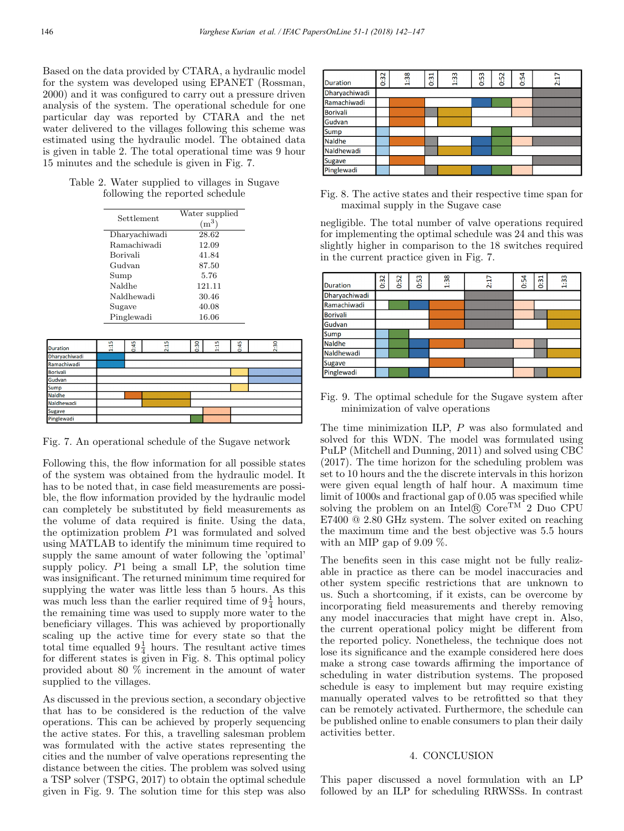Based on the data provided by CTARA, a hydraulic model for the system was developed using EPANET (Rossman, 2000) and it was configured to carry out a pressure driven analysis of the system. The operational schedule for one particular day was reported by CTARA and the net water delivered to the villages following this scheme was estimated using the hydraulic model. The obtained data is given in table 2. The total operational time was 9 hour 15 minutes and the schedule is given in Fig. 7.

Table 2. Water supplied to villages in Sugave following the reported schedule

|               | Water supplied |  |
|---------------|----------------|--|
| Settlement    | $(m^3)$        |  |
| Dharyachiwadi | 28.62          |  |
| Ramachiwadi   | 12.09          |  |
| Borivali      | 41.84          |  |
| Gudvan        | 87.50          |  |
| Sump          | 5.76           |  |
| Naldhe        | 121.11         |  |
| Naldhewadi    | 30.46          |  |
| Sugave        | 40.08          |  |
| Pinglewadi    | 16.06          |  |
|               |                |  |



Fig. 7. An operational schedule of the Sugave network

Following this, the flow information for all possible states of the system was obtained from the hydraulic model. It has to be noted that, in case field measurements are possible, the flow information provided by the hydraulic model can completely be substituted by field measurements as the volume of data required is finite. Using the data, the optimization problem P1 was formulated and solved using MATLAB to identify the minimum time required to supply the same amount of water following the 'optimal' supply policy. P1 being a small LP, the solution time was insignificant. The returned minimum time required for supplying the water was little less than 5 hours. As this was much less than the earlier required time of  $9\frac{1}{4}$  hours, the remaining time was used to supply more water to the beneficiary villages. This was achieved by proportionally scaling up the active time for every state so that the total time equalled  $9\frac{1}{4}$  hours. The resultant active times for different states is given in Fig. 8. This optimal policy provided about 80 % increment in the amount of water supplied to the villages.

As discussed in the previous section, a secondary objective that has to be considered is the reduction of the valve operations. This can be achieved by properly sequencing the active states. For this, a travelling salesman problem was formulated with the active states representing the cities and the number of valve operations representing the distance between the cities. The problem was solved using a TSP solver (TSPG, 2017) to obtain the optimal schedule given in Fig. 9. The solution time for this step was also



Fig. 8. The active states and their respective time span for maximal supply in the Sugave case

negligible. The total number of valve operations required for implementing the optimal schedule was 24 and this was slightly higher in comparison to the 18 switches required in the current practice given in Fig. 7.



Fig. 9. The optimal schedule for the Sugave system after minimization of valve operations

The time minimization ILP, P was also formulated and solved for this WDN. The model was formulated using PuLP (Mitchell and Dunning, 2011) and solved using CBC (2017). The time horizon for the scheduling problem was set to 10 hours and the the discrete intervals in this horizon were given equal length of half hour. A maximum time limit of 1000s and fractional gap of 0.05 was specified while solving the problem on an Intel®  $\text{Core}^{\text{TM}}$  2 Duo CPU E7400 @ 2.80 GHz system. The solver exited on reaching the maximum time and the best objective was 5.5 hours with an MIP gap of 9.09 %.

The benefits seen in this case might not be fully realizable in practice as there can be model inaccuracies and other system specific restrictions that are unknown to us. Such a shortcoming, if it exists, can be overcome by incorporating field measurements and thereby removing any model inaccuracies that might have crept in. Also, the current operational policy might be different from the reported policy. Nonetheless, the technique does not lose its significance and the example considered here does make a strong case towards affirming the importance of scheduling in water distribution systems. The proposed schedule is easy to implement but may require existing manually operated valves to be retrofitted so that they can be remotely activated. Furthermore, the schedule can be published online to enable consumers to plan their daily activities better.

## 4. CONCLUSION

This paper discussed a novel formulation with an LP followed by an ILP for scheduling RRWSSs. In contrast